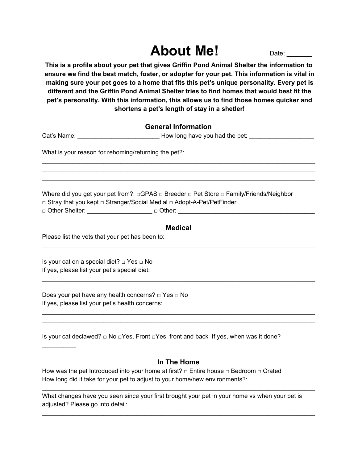# **About Me!** Date:

**This is a profile about your pet that gives Griffin Pond Animal Shelter the information to ensure we find the best match, foster, or adopter for your pet. This information is vital in making sure your pet goes to a home that fits this pet's unique personality. Every pet is different and the Griffin Pond Animal Shelter tries to find homes that would best fit the pet's personality. With this information, this allows us to find those homes quicker and shortens a pet's length of stay in a shetler!**

## **General Information**

Cat's Name: \_\_\_\_\_\_\_\_\_\_\_\_\_\_\_\_\_\_\_\_\_\_\_\_ How long have you had the pet: \_\_\_\_\_\_\_\_\_\_\_\_\_\_\_\_\_\_\_

\_\_\_\_\_\_\_\_\_\_\_\_\_\_\_\_\_\_\_\_\_\_\_\_\_\_\_\_\_\_\_\_\_\_\_\_\_\_\_\_\_\_\_\_\_\_\_\_\_\_\_\_\_\_\_\_\_\_\_\_\_\_\_\_\_\_\_\_\_\_\_\_\_\_\_\_\_\_\_\_ \_\_\_\_\_\_\_\_\_\_\_\_\_\_\_\_\_\_\_\_\_\_\_\_\_\_\_\_\_\_\_\_\_\_\_\_\_\_\_\_\_\_\_\_\_\_\_\_\_\_\_\_\_\_\_\_\_\_\_\_\_\_\_\_\_\_\_\_\_\_\_\_\_\_\_\_\_\_\_\_ \_\_\_\_\_\_\_\_\_\_\_\_\_\_\_\_\_\_\_\_\_\_\_\_\_\_\_\_\_\_\_\_\_\_\_\_\_\_\_\_\_\_\_\_\_\_\_\_\_\_\_\_\_\_\_\_\_\_\_\_\_\_\_\_\_\_\_\_\_\_\_\_\_\_\_\_\_\_\_\_

What is your reason for rehoming/returning the pet?:

Where did you get your pet from?: □GPAS □ Breeder □ Pet Store □ Family/Friends/Neighbor □ Stray that you kept □ Stranger/Social Medial □ Adopt-A-Pet/PetFinder

□ Other Shelter: \_\_\_\_\_\_\_\_\_\_\_\_\_\_\_\_\_\_\_ □ Other: \_\_\_\_\_\_\_\_\_\_\_\_\_\_\_\_\_\_\_\_\_\_\_\_\_\_\_\_\_\_\_\_\_\_\_\_\_\_\_\_

## **Medical**

\_\_\_\_\_\_\_\_\_\_\_\_\_\_\_\_\_\_\_\_\_\_\_\_\_\_\_\_\_\_\_\_\_\_\_\_\_\_\_\_\_\_\_\_\_\_\_\_\_\_\_\_\_\_\_\_\_\_\_\_\_\_\_\_\_\_\_\_\_\_\_\_\_\_\_\_\_\_\_\_

\_\_\_\_\_\_\_\_\_\_\_\_\_\_\_\_\_\_\_\_\_\_\_\_\_\_\_\_\_\_\_\_\_\_\_\_\_\_\_\_\_\_\_\_\_\_\_\_\_\_\_\_\_\_\_\_\_\_\_\_\_\_\_\_\_\_\_\_\_\_\_\_\_\_\_\_\_\_\_\_

\_\_\_\_\_\_\_\_\_\_\_\_\_\_\_\_\_\_\_\_\_\_\_\_\_\_\_\_\_\_\_\_\_\_\_\_\_\_\_\_\_\_\_\_\_\_\_\_\_\_\_\_\_\_\_\_\_\_\_\_\_\_\_\_\_\_\_\_\_\_\_\_\_\_\_\_\_\_\_\_ \_\_\_\_\_\_\_\_\_\_\_\_\_\_\_\_\_\_\_\_\_\_\_\_\_\_\_\_\_\_\_\_\_\_\_\_\_\_\_\_\_\_\_\_\_\_\_\_\_\_\_\_\_\_\_\_\_\_\_\_\_\_\_\_\_\_\_\_\_\_\_\_\_\_\_\_\_\_\_\_

Please list the vets that your pet has been to:

Is your cat on a special diet? □ Yes □ No If yes, please list your pet's special diet:

 $\frac{1}{2}$  ,  $\frac{1}{2}$  ,  $\frac{1}{2}$  ,  $\frac{1}{2}$  ,  $\frac{1}{2}$ 

Does your pet have any health concerns? □ Yes □ No If yes, please list your pet's health concerns:

Is your cat declawed? □ No □Yes, Front □Yes, front and back If yes, when was it done?

## **In The Home**

\_\_\_\_\_\_\_\_\_\_\_\_\_\_\_\_\_\_\_\_\_\_\_\_\_\_\_\_\_\_\_\_\_\_\_\_\_\_\_\_\_\_\_\_\_\_\_\_\_\_\_\_\_\_\_\_\_\_\_\_\_\_\_\_\_\_\_\_\_\_\_\_\_\_\_\_\_\_\_\_

\_\_\_\_\_\_\_\_\_\_\_\_\_\_\_\_\_\_\_\_\_\_\_\_\_\_\_\_\_\_\_\_\_\_\_\_\_\_\_\_\_\_\_\_\_\_\_\_\_\_\_\_\_\_\_\_\_\_\_\_\_\_\_\_\_\_\_\_\_\_\_\_\_\_\_\_\_\_\_\_

How was the pet Introduced into your home at first?  $□$  Entire house  $□$  Bedroom  $□$  Crated How long did it take for your pet to adjust to your home/new environments?:

What changes have you seen since your first brought your pet in your home vs when your pet is adjusted? Please go into detail: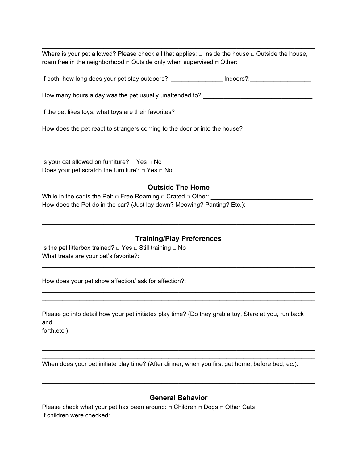Where is your pet allowed? Please check all that applies:  $\Box$  Inside the house  $\Box$  Outside the house, roam free in the neighborhood □ Outside only when supervised □ Other:

\_\_\_\_\_\_\_\_\_\_\_\_\_\_\_\_\_\_\_\_\_\_\_\_\_\_\_\_\_\_\_\_\_\_\_\_\_\_\_\_\_\_\_\_\_\_\_\_\_\_\_\_\_\_\_\_\_\_\_\_\_\_\_\_\_\_\_\_\_\_\_\_\_\_\_\_\_\_\_\_

If both, how long does your pet stay outdoors?: \_\_\_\_\_\_\_\_\_\_\_\_\_\_\_\_\_\_ Indoors?: \_\_\_\_\_\_\_\_\_\_\_\_\_\_\_\_\_\_\_\_\_\_

How many hours a day was the pet usually unattended to? \_\_\_\_\_\_\_\_\_\_\_\_\_\_\_\_\_\_\_\_\_\_\_\_

If the pet likes toys, what toys are their favorites?\_\_\_\_\_\_\_\_\_\_\_\_\_\_\_\_\_\_\_\_\_\_\_\_\_\_\_\_\_\_\_\_\_\_\_\_\_\_\_\_\_

How does the pet react to strangers coming to the door or into the house?

Is your cat allowed on furniture? □ Yes □ No Does your pet scratch the furniture? □ Yes □ No

#### **Outside The Home**

\_\_\_\_\_\_\_\_\_\_\_\_\_\_\_\_\_\_\_\_\_\_\_\_\_\_\_\_\_\_\_\_\_\_\_\_\_\_\_\_\_\_\_\_\_\_\_\_\_\_\_\_\_\_\_\_\_\_\_\_\_\_\_\_\_\_\_\_\_\_\_\_\_\_\_\_\_\_\_\_ \_\_\_\_\_\_\_\_\_\_\_\_\_\_\_\_\_\_\_\_\_\_\_\_\_\_\_\_\_\_\_\_\_\_\_\_\_\_\_\_\_\_\_\_\_\_\_\_\_\_\_\_\_\_\_\_\_\_\_\_\_\_\_\_\_\_\_\_\_\_\_\_\_\_\_\_\_\_\_\_

\_\_\_\_\_\_\_\_\_\_\_\_\_\_\_\_\_\_\_\_\_\_\_\_\_\_\_\_\_\_\_\_\_\_\_\_\_\_\_\_\_\_\_\_\_\_\_\_\_\_\_\_\_\_\_\_\_\_\_\_\_\_\_\_\_\_\_\_\_\_\_\_\_\_\_\_\_\_\_\_ \_\_\_\_\_\_\_\_\_\_\_\_\_\_\_\_\_\_\_\_\_\_\_\_\_\_\_\_\_\_\_\_\_\_\_\_\_\_\_\_\_\_\_\_\_\_\_\_\_\_\_\_\_\_\_\_\_\_\_\_\_\_\_\_\_\_\_\_\_\_\_\_\_\_\_\_\_\_\_\_

While in the car is the Pet:  $\Box$  Free Roaming  $\Box$  Crated  $\Box$  Other: How does the Pet do in the car? (Just lay down? Meowing? Panting? Etc.):

### **Training/Play Preferences**

\_\_\_\_\_\_\_\_\_\_\_\_\_\_\_\_\_\_\_\_\_\_\_\_\_\_\_\_\_\_\_\_\_\_\_\_\_\_\_\_\_\_\_\_\_\_\_\_\_\_\_\_\_\_\_\_\_\_\_\_\_\_\_\_\_\_\_\_\_\_\_\_\_\_\_\_\_\_\_\_

\_\_\_\_\_\_\_\_\_\_\_\_\_\_\_\_\_\_\_\_\_\_\_\_\_\_\_\_\_\_\_\_\_\_\_\_\_\_\_\_\_\_\_\_\_\_\_\_\_\_\_\_\_\_\_\_\_\_\_\_\_\_\_\_\_\_\_\_\_\_\_\_\_\_\_\_\_\_\_\_ \_\_\_\_\_\_\_\_\_\_\_\_\_\_\_\_\_\_\_\_\_\_\_\_\_\_\_\_\_\_\_\_\_\_\_\_\_\_\_\_\_\_\_\_\_\_\_\_\_\_\_\_\_\_\_\_\_\_\_\_\_\_\_\_\_\_\_\_\_\_\_\_\_\_\_\_\_\_\_\_

Is the pet litterbox trained?  $\Box$  Yes  $\Box$  Still training  $\Box$  No What treats are your pet's favorite?:

How does your pet show affection/ ask for affection?:

Please go into detail how your pet initiates play time? (Do they grab a toy, Stare at you, run back and

\_\_\_\_\_\_\_\_\_\_\_\_\_\_\_\_\_\_\_\_\_\_\_\_\_\_\_\_\_\_\_\_\_\_\_\_\_\_\_\_\_\_\_\_\_\_\_\_\_\_\_\_\_\_\_\_\_\_\_\_\_\_\_\_\_\_\_\_\_\_\_\_\_\_\_\_\_\_\_\_ \_\_\_\_\_\_\_\_\_\_\_\_\_\_\_\_\_\_\_\_\_\_\_\_\_\_\_\_\_\_\_\_\_\_\_\_\_\_\_\_\_\_\_\_\_\_\_\_\_\_\_\_\_\_\_\_\_\_\_\_\_\_\_\_\_\_\_\_\_\_\_\_\_\_\_\_\_\_\_\_ \_\_\_\_\_\_\_\_\_\_\_\_\_\_\_\_\_\_\_\_\_\_\_\_\_\_\_\_\_\_\_\_\_\_\_\_\_\_\_\_\_\_\_\_\_\_\_\_\_\_\_\_\_\_\_\_\_\_\_\_\_\_\_\_\_\_\_\_\_\_\_\_\_\_\_\_\_\_\_\_

forth,etc.):

When does your pet initiate play time? (After dinner, when you first get home, before bed, ec.):

#### **General Behavior**

\_\_\_\_\_\_\_\_\_\_\_\_\_\_\_\_\_\_\_\_\_\_\_\_\_\_\_\_\_\_\_\_\_\_\_\_\_\_\_\_\_\_\_\_\_\_\_\_\_\_\_\_\_\_\_\_\_\_\_\_\_\_\_\_\_\_\_\_\_\_\_\_\_\_\_\_\_\_\_\_ \_\_\_\_\_\_\_\_\_\_\_\_\_\_\_\_\_\_\_\_\_\_\_\_\_\_\_\_\_\_\_\_\_\_\_\_\_\_\_\_\_\_\_\_\_\_\_\_\_\_\_\_\_\_\_\_\_\_\_\_\_\_\_\_\_\_\_\_\_\_\_\_\_\_\_\_\_\_\_\_

Please check what your pet has been around: □ Children □ Dogs □ Other Cats If children were checked: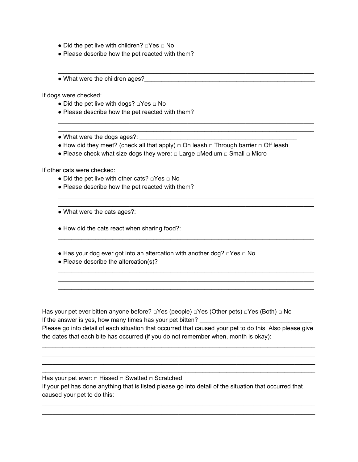- Did the pet live with children? □Yes □ No
- Please describe how the pet reacted with them?
- What were the children ages?\_\_\_\_\_\_\_\_\_\_\_\_\_\_\_\_\_\_\_\_\_\_\_\_\_\_\_\_\_\_\_\_\_\_\_\_\_\_\_\_\_\_\_\_\_\_\_\_\_\_

If dogs were checked:

- Did the pet live with dogs? □Yes □ No
- Please describe how the pet reacted with them?
- What were the dogs ages?: \_\_\_\_\_\_\_\_\_\_\_\_\_\_\_\_\_\_\_\_\_\_\_\_\_\_\_\_\_\_\_\_\_\_\_\_\_\_\_\_\_\_\_\_\_\_
- How did they meet? (check all that apply)  $\Box$  On leash  $\Box$  Through barrier  $\Box$  Off leash

\_\_\_\_\_\_\_\_\_\_\_\_\_\_\_\_\_\_\_\_\_\_\_\_\_\_\_\_\_\_\_\_\_\_\_\_\_\_\_\_\_\_\_\_\_\_\_\_\_\_\_\_\_\_\_\_\_\_\_\_\_\_\_\_\_\_\_\_\_\_\_\_\_\_\_ \_\_\_\_\_\_\_\_\_\_\_\_\_\_\_\_\_\_\_\_\_\_\_\_\_\_\_\_\_\_\_\_\_\_\_\_\_\_\_\_\_\_\_\_\_\_\_\_\_\_\_\_\_\_\_\_\_\_\_\_\_\_\_\_\_\_\_\_\_\_\_\_\_\_\_

\_\_\_\_\_\_\_\_\_\_\_\_\_\_\_\_\_\_\_\_\_\_\_\_\_\_\_\_\_\_\_\_\_\_\_\_\_\_\_\_\_\_\_\_\_\_\_\_\_\_\_\_\_\_\_\_\_\_\_\_\_\_\_\_\_\_\_\_\_\_\_\_\_\_\_ \_\_\_\_\_\_\_\_\_\_\_\_\_\_\_\_\_\_\_\_\_\_\_\_\_\_\_\_\_\_\_\_\_\_\_\_\_\_\_\_\_\_\_\_\_\_\_\_\_\_\_\_\_\_\_\_\_\_\_\_\_\_\_\_\_\_\_\_\_\_\_\_\_\_\_

\_\_\_\_\_\_\_\_\_\_\_\_\_\_\_\_\_\_\_\_\_\_\_\_\_\_\_\_\_\_\_\_\_\_\_\_\_\_\_\_\_\_\_\_\_\_\_\_\_\_\_\_\_\_\_\_\_\_\_\_\_\_\_\_\_\_\_\_\_\_\_\_\_\_\_ \_\_\_\_\_\_\_\_\_\_\_\_\_\_\_\_\_\_\_\_\_\_\_\_\_\_\_\_\_\_\_\_\_\_\_\_\_\_\_\_\_\_\_\_\_\_\_\_\_\_\_\_\_\_\_\_\_\_\_\_\_\_\_\_\_\_\_\_\_\_\_\_\_\_\_

\_\_\_\_\_\_\_\_\_\_\_\_\_\_\_\_\_\_\_\_\_\_\_\_\_\_\_\_\_\_\_\_\_\_\_\_\_\_\_\_\_\_\_\_\_\_\_\_\_\_\_\_\_\_\_\_\_\_\_\_\_\_\_\_\_\_\_\_\_\_\_\_\_\_\_

\_\_\_\_\_\_\_\_\_\_\_\_\_\_\_\_\_\_\_\_\_\_\_\_\_\_\_\_\_\_\_\_\_\_\_\_\_\_\_\_\_\_\_\_\_\_\_\_\_\_\_\_\_\_\_\_\_\_\_\_\_\_\_\_\_\_\_\_\_\_\_\_\_\_\_

\_\_\_\_\_\_\_\_\_\_\_\_\_\_\_\_\_\_\_\_\_\_\_\_\_\_\_\_\_\_\_\_\_\_\_\_\_\_\_\_\_\_\_\_\_\_\_\_\_\_\_\_\_\_\_\_\_\_\_\_\_\_\_\_\_\_\_\_\_\_\_\_\_\_\_ \_\_\_\_\_\_\_\_\_\_\_\_\_\_\_\_\_\_\_\_\_\_\_\_\_\_\_\_\_\_\_\_\_\_\_\_\_\_\_\_\_\_\_\_\_\_\_\_\_\_\_\_\_\_\_\_\_\_\_\_\_\_\_\_\_\_\_\_\_\_\_\_\_\_\_ \_\_\_\_\_\_\_\_\_\_\_\_\_\_\_\_\_\_\_\_\_\_\_\_\_\_\_\_\_\_\_\_\_\_\_\_\_\_\_\_\_\_\_\_\_\_\_\_\_\_\_\_\_\_\_\_\_\_\_\_\_\_\_\_\_\_\_\_\_\_\_\_\_\_\_

• Please check what size dogs they were: □ Large □Medium □ Small □ Micro

If other cats were checked:

- Did the pet live with other cats?  $\Box$  Yes  $\Box$  No
- Please describe how the pet reacted with them?
- What were the cats ages?:
- How did the cats react when sharing food?:
- Has your dog ever got into an altercation with another dog? □Yes □ No
- Please describe the altercation(s)?

Has your pet ever bitten anyone before? □Yes (people) □Yes (Other pets) □Yes (Both) □ No If the answer is yes, how many times has your pet bitten? Please go into detail of each situation that occurred that caused your pet to do this. Also please give the dates that each bite has occurred (if you do not remember when, month is okay):

\_\_\_\_\_\_\_\_\_\_\_\_\_\_\_\_\_\_\_\_\_\_\_\_\_\_\_\_\_\_\_\_\_\_\_\_\_\_\_\_\_\_\_\_\_\_\_\_\_\_\_\_\_\_\_\_\_\_\_\_\_\_\_\_\_\_\_\_\_\_\_\_\_\_\_\_\_\_\_\_ \_\_\_\_\_\_\_\_\_\_\_\_\_\_\_\_\_\_\_\_\_\_\_\_\_\_\_\_\_\_\_\_\_\_\_\_\_\_\_\_\_\_\_\_\_\_\_\_\_\_\_\_\_\_\_\_\_\_\_\_\_\_\_\_\_\_\_\_\_\_\_\_\_\_\_\_\_\_\_\_ \_\_\_\_\_\_\_\_\_\_\_\_\_\_\_\_\_\_\_\_\_\_\_\_\_\_\_\_\_\_\_\_\_\_\_\_\_\_\_\_\_\_\_\_\_\_\_\_\_\_\_\_\_\_\_\_\_\_\_\_\_\_\_\_\_\_\_\_\_\_\_\_\_\_\_\_\_\_\_\_ \_\_\_\_\_\_\_\_\_\_\_\_\_\_\_\_\_\_\_\_\_\_\_\_\_\_\_\_\_\_\_\_\_\_\_\_\_\_\_\_\_\_\_\_\_\_\_\_\_\_\_\_\_\_\_\_\_\_\_\_\_\_\_\_\_\_\_\_\_\_\_\_\_\_\_\_\_\_\_\_

Has your pet ever: □ Hissed □ Swatted □ Scratched If your pet has done anything that is listed please go into detail of the situation that occurred that caused your pet to do this:

\_\_\_\_\_\_\_\_\_\_\_\_\_\_\_\_\_\_\_\_\_\_\_\_\_\_\_\_\_\_\_\_\_\_\_\_\_\_\_\_\_\_\_\_\_\_\_\_\_\_\_\_\_\_\_\_\_\_\_\_\_\_\_\_\_\_\_\_\_\_\_\_\_\_\_\_\_\_\_\_ \_\_\_\_\_\_\_\_\_\_\_\_\_\_\_\_\_\_\_\_\_\_\_\_\_\_\_\_\_\_\_\_\_\_\_\_\_\_\_\_\_\_\_\_\_\_\_\_\_\_\_\_\_\_\_\_\_\_\_\_\_\_\_\_\_\_\_\_\_\_\_\_\_\_\_\_\_\_\_\_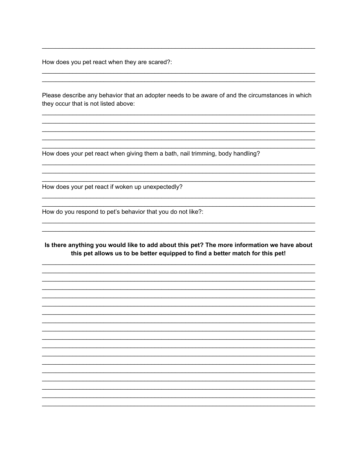How does you pet react when they are scared?:

Please describe any behavior that an adopter needs to be aware of and the circumstances in which they occur that is not listed above:

How does your pet react when giving them a bath, nail trimming, body handling?

How does your pet react if woken up unexpectedly?

How do you respond to pet's behavior that you do not like?:

#### Is there anything you would like to add about this pet? The more information we have about this pet allows us to be better equipped to find a better match for this pet!